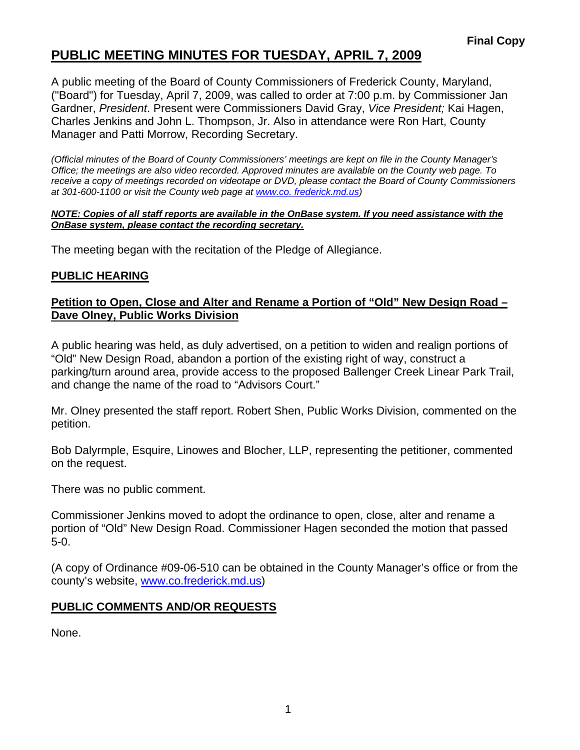# **PUBLIC MEETING MINUTES FOR TUESDAY, APRIL 7, 2009**

A public meeting of the Board of County Commissioners of Frederick County, Maryland, ("Board") for Tuesday, April 7, 2009, was called to order at 7:00 p.m. by Commissioner Jan Gardner, *President*. Present were Commissioners David Gray, *Vice President;* Kai Hagen, Charles Jenkins and John L. Thompson, Jr. Also in attendance were Ron Hart, County Manager and Patti Morrow, Recording Secretary.

*(Official minutes of the Board of County Commissioners' meetings are kept on file in the County Manager's Office; the meetings are also video recorded. Approved minutes are available on the County web page. To receive a copy of meetings recorded on videotape or DVD, please contact the Board of County Commissioners at 301-600-1100 or visit the County web page at [www.co](http://www.co/). frederick.md.us)* 

#### *NOTE: Copies of all staff reports are available in the OnBase system. If you need assistance with the OnBase system, please contact the recording secretary.*

The meeting began with the recitation of the Pledge of Allegiance.

### **PUBLIC HEARING**

#### **Petition to Open, Close and Alter and Rename a Portion of "Old" New Design Road – Dave Olney, Public Works Division**

A public hearing was held, as duly advertised, on a petition to widen and realign portions of "Old" New Design Road, abandon a portion of the existing right of way, construct a parking/turn around area, provide access to the proposed Ballenger Creek Linear Park Trail, and change the name of the road to "Advisors Court."

Mr. Olney presented the staff report. Robert Shen, Public Works Division, commented on the petition.

Bob Dalyrmple, Esquire, Linowes and Blocher, LLP, representing the petitioner, commented on the request.

There was no public comment.

Commissioner Jenkins moved to adopt the ordinance to open, close, alter and rename a portion of "Old" New Design Road. Commissioner Hagen seconded the motion that passed 5-0.

(A copy of Ordinance #09-06-510 can be obtained in the County Manager's office or from the county's website, <www.co.frederick.md.us>)

## **PUBLIC COMMENTS AND/OR REQUESTS**

None.